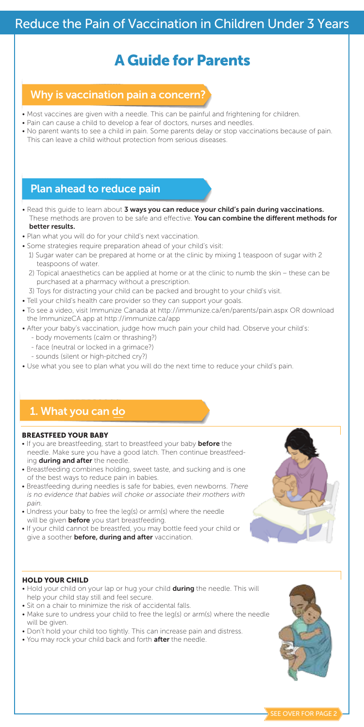## Reduce the Pain of Vaccination in Children Under 3 Years

# A Guide for Parents

### Why is vaccination pain a concern?

- Most vaccines are given with a needle. This can be painful and frightening for children.
- Pain can cause a child to develop a fear of doctors, nurses and needles.
- No parent wants to see a child in pain. Some parents delay or stop vaccinations because of pain. This can leave a child without protection from serious diseases.

### Plan ahead to reduce pain

• Read this guide to learn about 3 ways you can reduce your child's pain during vaccinations. These methods are proven to be safe and effective. You can combine the different methods for better results.

### • Plan what you will do for your child's next vaccination.

- Some strategies require preparation ahead of your child's visit:
- 1) Sugar water can be prepared at home or at the clinic by mixing 1 teaspoon of sugar with 2 teaspoons of water.
- 2) Topical anaesthetics can be applied at home or at the clinic to numb the skin these can be purchased at a pharmacy without a prescription.
- 3) Toys for distracting your child can be packed and brought to your child's visit.
- Tell your child's health care provider so they can support your goals.
- To see a video, visit Immunize Canada at http://immunize.ca/en/parents/pain.aspx OR download the ImmunizeCA app at http://immunize.ca/app
- After your baby's vaccination, judge how much pain your child had. Observe your child's:
	- body movements (calm or thrashing?)
	- face (neutral or locked in a grimace?)
	- sounds (silent or high-pitched cry?)
- Use what you see to plan what you will do the next time to reduce your child's pain.

### 1. What you can do

#### BREASTFEED YOUR BABY

- If you are breastfeeding, start to breastfeed your baby before the needle. Make sure you have a good latch. Then continue breastfeeding during and after the needle.
- Breastfeeding combines holding, sweet taste, and sucking and is one of the best ways to reduce pain in babies.
- Breastfeeding during needles is safe for babies, even newborns. *There is no evidence that babies will choke or associate their mothers with pain.*
- Undress your baby to free the leg(s) or arm(s) where the needle will be given **before** you start breastfeeding.
- If your child cannot be breastfed, you may bottle feed your child or give a soother **before, during and after** vaccination.

#### HOLD YOUR CHILD

- Hold your child on your lap or hug your child during the needle. This will help your child stay still and feel secure.
- Sit on a chair to minimize the risk of accidental falls.
- Make sure to undress your child to free the leg(s) or arm(s) where the needle will be given.
- Don't hold your child too tightly. This can increase pain and distress. • You may rock your child back and forth after the needle.